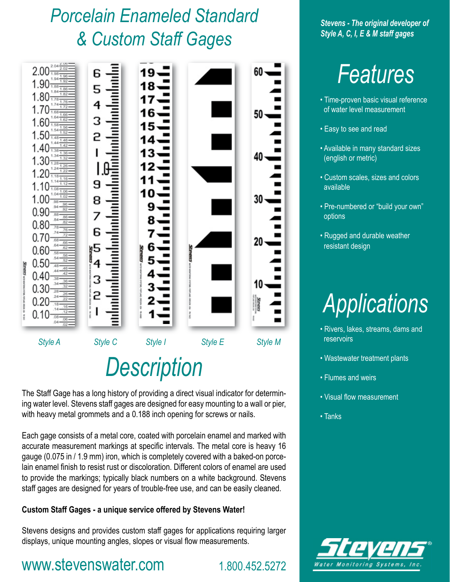## *Porcelain Enameled Standard & Custom Staff Gages*



The Staff Gage has a long history of providing a direct visual indicator for determining water level. Stevens staff gages are designed for easy mounting to a wall or pier, with heavy metal grommets and a 0.188 inch opening for screws or nails.

Each gage consists of a metal core, coated with porcelain enamel and marked with accurate measurement markings at specific intervals. The metal core is heavy 16 gauge (0.075 in / 1.9 mm) iron, which is completely covered with a baked-on porcelain enamel finish to resist rust or discoloration. Different colors of enamel are used to provide the markings; typically black numbers on a white background. Stevens staff gages are designed for years of trouble-free use, and can be easily cleaned.

#### **Custom Staff Gages - a unique service offered by Stevens Water!**

Stevens designs and provides custom staff gages for applications requiring larger displays, unique mounting angles, slopes or visual flow measurements.

#### www.stevenswater.com 1.800.452.5272

*Stevens - The original developer of Style A, C, I, E & M staff gages*

# *Features*

- Time-proven basic visual reference of water level measurement
- Easy to see and read
- Available in many standard sizes (english or metric)
- Custom scales, sizes and colors available
- Pre-numbered or "build your own" options
- Rugged and durable weather resistant design



- Rivers, lakes, streams, dams and reservoirs
- Wastewater treatment plants
- Flumes and weirs
- Visual flow measurement
- Tanks

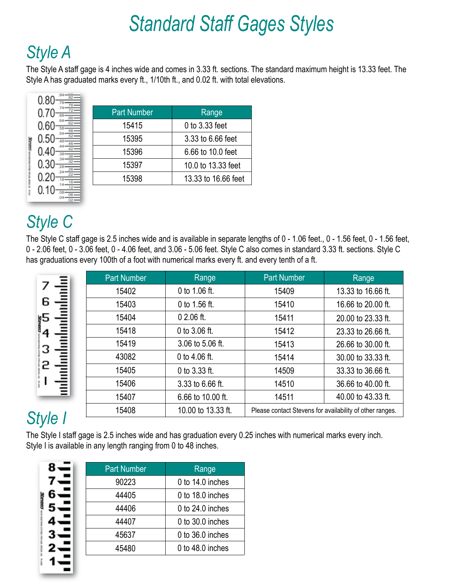# *Standard Staff Gages Styles*

### *Style A*

The Style A staff gage is 4 inches wide and comes in 3.33 ft. sections. The standard maximum height is 13.33 feet. The Style A has graduated marks every ft., 1/10th ft., and 0.02 ft. with total elevations.

| <b>Part Number</b> | Range               |
|--------------------|---------------------|
| 15415              | 0 to 3.33 feet      |
| 15395              | 3.33 to 6.66 feet   |
| 15396              | 6.66 to 10.0 feet   |
| 15397              | 10.0 to 13.33 feet  |
| 15398              | 13.33 to 16.66 feet |
|                    |                     |

### *Style C*

 $.04 - \frac{06}{22}$ 

SERROS union

The Style C staff gage is 2.5 inches wide and is available in separate lengths of 0 - 1.06 feet., 0 - 1.56 feet, 0 - 1.56 feet, 0 - 2.06 feet, 0 - 3.06 feet, 0 - 4.06 feet, and 3.06 - 5.06 feet. Style C also comes in standard 3.33 ft. sections. Style C has graduations every 100th of a foot with numerical marks every ft. and every tenth of a ft.

|                 | <b>Part Number</b> | Range              | <b>Part Number</b>                                       | Range              |
|-----------------|--------------------|--------------------|----------------------------------------------------------|--------------------|
|                 | 15402              | 0 to 1.06 ft.      | 15409                                                    | 13.33 to 16.66 ft. |
| 6               | 15403              | 0 to 1.56 ft.      | 15410                                                    | 16.66 to 20.00 ft. |
| №5              | 15404              | $02.06$ ft.        | 15411                                                    | 20.00 to 23.33 ft. |
|                 | 15418              | 0 to 3.06 ft.      | 15412                                                    | 23.33 to 26.66 ft. |
| з               | 15419              | 3.06 to 5.06 ft.   | 15413                                                    | 26.66 to 30.00 ft. |
|                 | 43082              | 0 to 4.06 ft.      | 15414                                                    | 30.00 to 33.33 ft. |
|                 | 15405              | 0 to $3.33$ ft.    | 14509                                                    | 33.33 to 36.66 ft. |
|                 | 15406              | 3.33 to 6.66 ft.   | 14510                                                    | 36.66 to 40.00 ft. |
|                 | 15407              | 6.66 to 10.00 ft.  | 14511                                                    | 40.00 to 43.33 ft. |
| 4d <sub>0</sub> | 15408              | 10.00 to 13.33 ft. | Please contact Stevens for availability of other ranges. |                    |

## *Style I*

The Style I staff gage is 2.5 inches wide and has graduation every 0.25 inches with numerical marks every inch. Style I is available in any length ranging from 0 to 48 inches.

| <b>Part Number</b> | Range            |
|--------------------|------------------|
| 90223              | 0 to 14.0 inches |
| 44405              | 0 to 18.0 inches |
| 44406              | 0 to 24.0 inches |
| 44407              | 0 to 30.0 inches |
| 45637              | 0 to 36.0 inches |
| 45480              | 0 to 48.0 inches |
|                    |                  |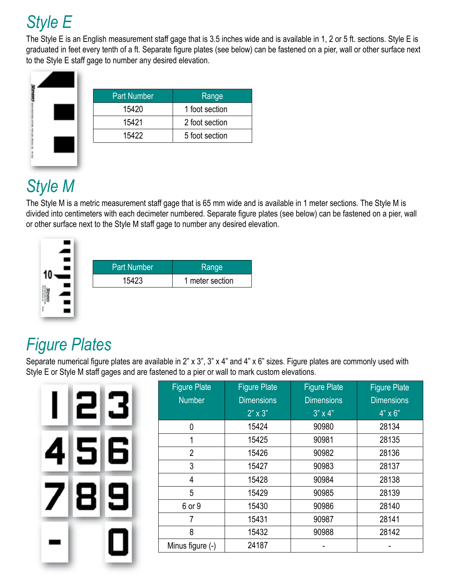### *Style E*

The Style E is an English measurement staff gage that is 3.5 inches wide and is available in 1, 2 or 5 ft. sections. Style E is graduated in feet every tenth of a ft. Separate figure plates (see below) can be fastened on a pier, wall or other surface next to the Style E staff gage to number any desired elevation.



| <b>Part Number</b> | Range          |
|--------------------|----------------|
| 15420              | 1 foot section |
| 15421              | 2 foot section |
| 15422              | 5 foot section |
|                    |                |

#### *Style M*

The Style M is a metric measurement staff gage that is 65 mm wide and is available in 1 meter sections. The Style M is divided into centimeters with each decimeter numbered. Separate figure plates (see below) can be fastened on a pier, wall or other surface next to the Style M staff gage to number any desired elevation.



#### *Figure Plates*

Separate numerical figure plates are available in 2" x 3", 3" x 4" and 4" x 6" sizes. Figure plates are commonly used with Style E or Style M staff gages and are fastened to a pier or wall to mark custom elevations.

|   | <b>Figure Plate</b><br><b>Number</b> | <b>Figure Pla</b><br><b>Dimensior</b><br>$2" \times 3"$ |
|---|--------------------------------------|---------------------------------------------------------|
|   | 0                                    | 15424                                                   |
|   | 1                                    | 15425                                                   |
| 6 | $\overline{2}$                       | 15426                                                   |
|   | 3                                    | 15427                                                   |
|   | 4                                    | 15428                                                   |
| 7 | 5                                    | 15429                                                   |
|   | 6 or 9                               | 15430                                                   |
|   | $\overline{7}$                       | 15431                                                   |
|   | 8                                    | 15432                                                   |
|   | Minus figure (-)                     | 24187                                                   |
|   |                                      |                                                         |

| <b>Dimensions</b><br>$2" \times 3"$ | <b>Dimensions</b><br>$3" \times 4"$ | <b>Dimensions</b><br>$4" \times 6"$ |
|-------------------------------------|-------------------------------------|-------------------------------------|
|                                     |                                     |                                     |
|                                     |                                     |                                     |
|                                     | 90980                               | 28134                               |
| 15425                               | 90981                               | 28135                               |
| 15426                               | 90982                               | 28136                               |
| 15427                               | 90983                               | 28137                               |
| 15428                               | 90984                               | 28138                               |
| 15429                               | 90985                               | 28139                               |
| 15430                               | 90986                               | 28140                               |
| 15431                               | 90987                               | 28141                               |
| 15432                               | 90988                               | 28142                               |
| 24187                               |                                     |                                     |
|                                     | 15424                               |                                     |